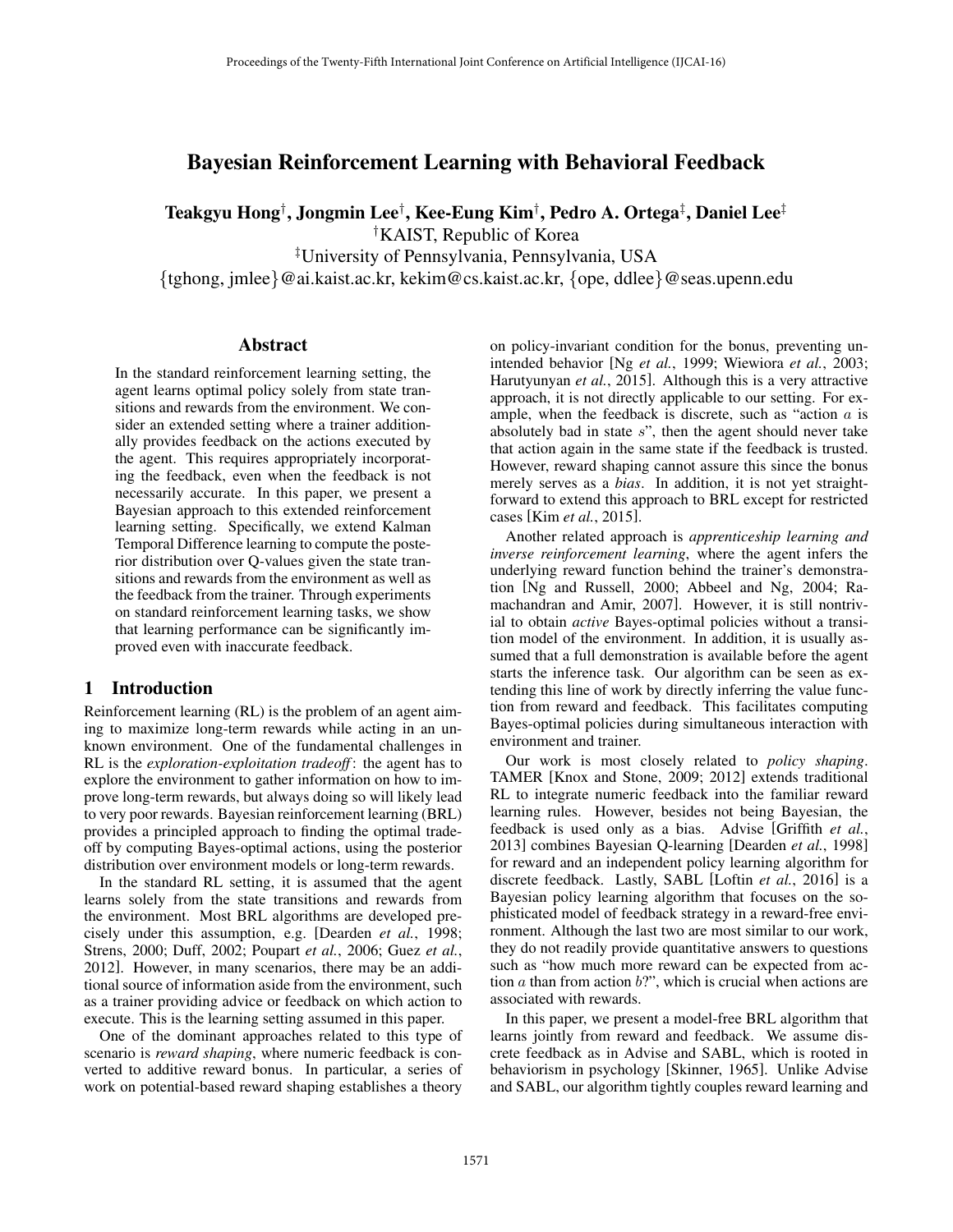# Bayesian Reinforcement Learning with Behavioral Feedback

Teakgyu Hong*†* , Jongmin Lee*†* , Kee-Eung Kim*†* , Pedro A. Ortega*‡* , Daniel Lee*‡*

*†* KAIST, Republic of Korea

*‡* University of Pennsylvania, Pennsylvania, USA

*{*tghong, jmlee*}*@ai.kaist.ac.kr, kekim@cs.kaist.ac.kr, *{*ope, ddlee*}*@seas.upenn.edu

#### Abstract

In the standard reinforcement learning setting, the agent learns optimal policy solely from state transitions and rewards from the environment. We consider an extended setting where a trainer additionally provides feedback on the actions executed by the agent. This requires appropriately incorporating the feedback, even when the feedback is not necessarily accurate. In this paper, we present a Bayesian approach to this extended reinforcement learning setting. Specifically, we extend Kalman Temporal Difference learning to compute the posterior distribution over Q-values given the state transitions and rewards from the environment as well as the feedback from the trainer. Through experiments on standard reinforcement learning tasks, we show that learning performance can be significantly improved even with inaccurate feedback.

### 1 Introduction

Reinforcement learning (RL) is the problem of an agent aiming to maximize long-term rewards while acting in an unknown environment. One of the fundamental challenges in RL is the *exploration-exploitation tradeoff* : the agent has to explore the environment to gather information on how to improve long-term rewards, but always doing so will likely lead to very poor rewards. Bayesian reinforcement learning (BRL) provides a principled approach to finding the optimal tradeoff by computing Bayes-optimal actions, using the posterior distribution over environment models or long-term rewards.

In the standard RL setting, it is assumed that the agent learns solely from the state transitions and rewards from the environment. Most BRL algorithms are developed precisely under this assumption, e.g. [Dearden *et al.*, 1998; Strens, 2000; Duff, 2002; Poupart *et al.*, 2006; Guez *et al.*, 2012]. However, in many scenarios, there may be an additional source of information aside from the environment, such as a trainer providing advice or feedback on which action to execute. This is the learning setting assumed in this paper.

One of the dominant approaches related to this type of scenario is *reward shaping*, where numeric feedback is converted to additive reward bonus. In particular, a series of work on potential-based reward shaping establishes a theory on policy-invariant condition for the bonus, preventing unintended behavior [Ng *et al.*, 1999; Wiewiora *et al.*, 2003; Harutyunyan *et al.*, 2015]. Although this is a very attractive approach, it is not directly applicable to our setting. For example, when the feedback is discrete, such as "action *a* is absolutely bad in state *s*", then the agent should never take that action again in the same state if the feedback is trusted. However, reward shaping cannot assure this since the bonus merely serves as a *bias*. In addition, it is not yet straightforward to extend this approach to BRL except for restricted cases [Kim *et al.*, 2015].

Another related approach is *apprenticeship learning and inverse reinforcement learning*, where the agent infers the underlying reward function behind the trainer's demonstration [Ng and Russell, 2000; Abbeel and Ng, 2004; Ramachandran and Amir, 2007]. However, it is still nontrivial to obtain *active* Bayes-optimal policies without a transition model of the environment. In addition, it is usually assumed that a full demonstration is available before the agent starts the inference task. Our algorithm can be seen as extending this line of work by directly inferring the value function from reward and feedback. This facilitates computing Bayes-optimal policies during simultaneous interaction with environment and trainer.

Our work is most closely related to *policy shaping*. TAMER [Knox and Stone, 2009; 2012] extends traditional RL to integrate numeric feedback into the familiar reward learning rules. However, besides not being Bayesian, the feedback is used only as a bias. Advise [Griffith *et al.*, 2013] combines Bayesian Q-learning [Dearden *et al.*, 1998] for reward and an independent policy learning algorithm for discrete feedback. Lastly, SABL [Loftin *et al.*, 2016] is a Bayesian policy learning algorithm that focuses on the sophisticated model of feedback strategy in a reward-free environment. Although the last two are most similar to our work, they do not readily provide quantitative answers to questions such as "how much more reward can be expected from action *a* than from action *b*?", which is crucial when actions are associated with rewards.

In this paper, we present a model-free BRL algorithm that learns jointly from reward and feedback. We assume discrete feedback as in Advise and SABL, which is rooted in behaviorism in psychology [Skinner, 1965]. Unlike Advise and SABL, our algorithm tightly couples reward learning and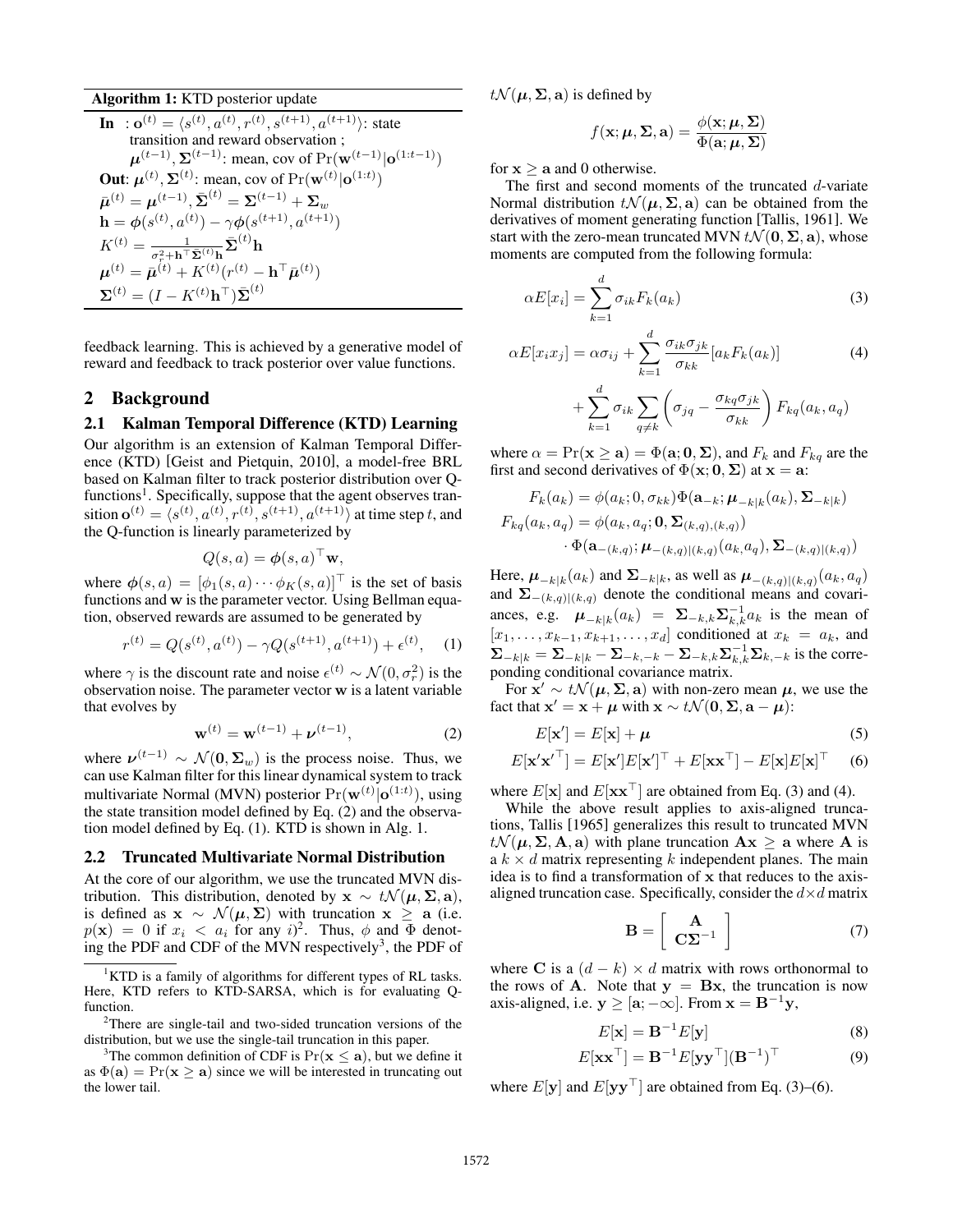Algorithm 1: KTD posterior update **In** :  $\mathbf{o}^{(t)} = \langle s^{(t)}, a^{(t)}, r^{(t)}, s^{(t+1)}, a^{(t+1)} \rangle$ : state transition and reward observation ;  $\mu^{(t-1)}$ ,  $\Sigma^{(t-1)}$ : mean, cov of  $Pr(\mathbf{w}^{(t-1)} | \mathbf{o}^{(1:t-1)})$ **Out:**  $\boldsymbol{\mu}^{(t)}$ ,  $\boldsymbol{\Sigma}^{(t)}$ : mean, cov of  $\Pr(\mathbf{w}^{(t)} | \mathbf{o}^{(1:t)})$  $\bar{\mu}^{(t)} = \mu^{(t-1)} \cdot \bar{\Sigma}^{(t)} = \Sigma^{(t-1)} + \Sigma_w$  $h = \phi(s^{(t)}, a^{(t)}) - \gamma \phi(s^{(t+1)}, a^{(t+1)})$  $K^{(t)} = \frac{1}{\sigma_r^2 + \mathbf{h}^\top \bar{\mathbf{\Sigma}}^{(t)} \mathbf{h}} \bar{\mathbf{\Sigma}}^{(t)} \mathbf{h}$  $\boldsymbol{\mu}^{(t)} = \bar{\boldsymbol{\mu}}^{(t)} + K^{(t)} (r^{(t)} - \mathbf{h}^\top \bar{\boldsymbol{\mu}}^{(t)})$  $\mathbf{\Sigma}^{(t)} = (I - K^{(t)} \mathbf{h}^{\top}) \bar{\mathbf{\Sigma}}^{(t)}$ 

feedback learning. This is achieved by a generative model of reward and feedback to track posterior over value functions.

### 2 Background

#### 2.1 Kalman Temporal Difference (KTD) Learning

Our algorithm is an extension of Kalman Temporal Difference (KTD) [Geist and Pietquin, 2010], a model-free BRL based on Kalman filter to track posterior distribution over Q $function<sup>1</sup>$ . Specifically, suppose that the agent observes transition  $\mathbf{o}^{(t)} = \langle s^{(t)}, a^{(t)}, r^{(t)}, s^{(t+1)}, a^{(t+1)} \rangle$  at time step *t*, and the Q-function is linearly parameterized by

$$
Q(s, a) = \boldsymbol{\phi}(s, a)^\top \mathbf{w},
$$

where  $\phi(s, a) = [\phi_1(s, a) \cdots \phi_K(s, a)]^\top$  is the set of basis functions and w is the parameter vector. Using Bellman equation, observed rewards are assumed to be generated by

$$
r^{(t)} = Q(s^{(t)}, a^{(t)}) - \gamma Q(s^{(t+1)}, a^{(t+1)}) + \epsilon^{(t)}, \quad (1)
$$

where  $\gamma$  is the discount rate and noise  $\epsilon^{(t)} \sim \mathcal{N}(0, \sigma_r^2)$  is the observation noise. The parameter vector w is a latent variable that evolves by

$$
\mathbf{w}^{(t)} = \mathbf{w}^{(t-1)} + \boldsymbol{\nu}^{(t-1)},
$$
 (2)

where  $\nu^{(t-1)} \sim \mathcal{N}(0, \Sigma_w)$  is the process noise. Thus, we can use Kalman filter for this linear dynamical system to track multivariate Normal (MVN) posterior  $Pr(\mathbf{w}^{(t)} | \mathbf{o}^{(1:t)})$ , using the state transition model defined by Eq. (2) and the observation model defined by Eq. (1). KTD is shown in Alg. 1.

#### 2.2 Truncated Multivariate Normal Distribution

At the core of our algorithm, we use the truncated MVN distribution. This distribution, denoted by  $x \sim t \mathcal{N}(\mu, \Sigma, a)$ , is defined as  $x \sim \mathcal{N}(\mu, \Sigma)$  with truncation  $x \ge a$  (i.e.  $p(\mathbf{x}) = 0$  if  $x_i < a_i$  for any *i*)<sup>2</sup>. Thus,  $\phi$  and  $\Phi$  denoting the PDF and CDF of the MVN respectively<sup>3</sup>, the PDF of  $t\mathcal{N}(\boldsymbol{\mu}, \boldsymbol{\Sigma}, \mathbf{a})$  is defined by

$$
f(\mathbf{x}; \boldsymbol{\mu}, \boldsymbol{\Sigma}, \mathbf{a}) = \frac{\phi(\mathbf{x}; \boldsymbol{\mu}, \boldsymbol{\Sigma})}{\Phi(\mathbf{a}; \boldsymbol{\mu}, \boldsymbol{\Sigma})}
$$

for  $x > a$  and 0 otherwise.

The first and second moments of the truncated *d*-variate Normal distribution  $t\mathcal{N}(\mu, \Sigma, \mathbf{a})$  can be obtained from the derivatives of moment generating function [Tallis, 1961]. We start with the zero-mean truncated MVN  $t\mathcal{N}(\mathbf{0}, \Sigma, \mathbf{a})$ , whose moments are computed from the following formula:

$$
\alpha E[x_i] = \sum_{k=1}^{d} \sigma_{ik} F_k(a_k) \tag{3}
$$

$$
\alpha E[x_i x_j] = \alpha \sigma_{ij} + \sum_{k=1}^d \frac{\sigma_{ik} \sigma_{jk}}{\sigma_{kk}} [a_k F_k(a_k)]
$$
(4)  
+ 
$$
\sum_{k=1}^d \sigma_{ik} \sum_{q \neq k} \left( \sigma_{jq} - \frac{\sigma_{kq} \sigma_{jk}}{\sigma_{kk}} \right) F_{kq}(a_k, a_q)
$$

where  $\alpha = \Pr(\mathbf{x} \ge \mathbf{a}) = \Phi(\mathbf{a}; \mathbf{0}, \Sigma)$ , and  $F_k$  and  $F_{kq}$  are the first and second derivatives of  $\Phi(\mathbf{x}; \mathbf{0}, \Sigma)$  at  $\mathbf{x} = \mathbf{a}$ :

$$
F_k(a_k) = \phi(a_k; 0, \sigma_{kk}) \Phi(\mathbf{a}_{-k}; \boldsymbol{\mu}_{-k|k}(a_k), \boldsymbol{\Sigma}_{-k|k})
$$
  

$$
F_{kq}(a_k, a_q) = \phi(a_k, a_q; \mathbf{0}, \boldsymbol{\Sigma}_{(k,q),(k,q)})
$$
  

$$
\cdot \Phi(\mathbf{a}_{-(k,q)}; \boldsymbol{\mu}_{-(k,q)|(k,q)}(a_k, a_q), \boldsymbol{\Sigma}_{-(k,q)|(k,q)})
$$

Here,  $\mu_{-k|k}(a_k)$  and  $\Sigma_{-k|k}$ , as well as  $\mu_{-(k,q)|(k,q)}(a_k, a_q)$ and  $\Sigma_{-(k,q)|(k,q)}$  denote the conditional means and covariances, e.g.  $\mu_{-k|k}(a_k) = \sum_{-k,k} \sum_{k}^{-1} a_k$  is the mean of  $[x_1, \ldots, x_{k-1}, x_{k+1}, \ldots, x_d]$  conditioned at  $x_k = a_k$ , and  $\sum_{-k|k} = \sum_{-k|k} - \sum_{-k,-k} - \sum_{-k,k} \sum_{k,k}^{-1} \sum_{k,-k}$  is the correponding conditional covariance matrix.

For  $x' \sim t \mathcal{N}(\mu, \Sigma, a)$  with non-zero mean  $\mu$ , we use the fact that  $\mathbf{x}' = \mathbf{x} + \boldsymbol{\mu}$  with  $\mathbf{x} \sim t\mathcal{N}(\mathbf{0}, \boldsymbol{\Sigma}, \mathbf{a} - \boldsymbol{\mu})$ :

$$
E[\mathbf{x}'] = E[\mathbf{x}] + \boldsymbol{\mu} \tag{5}
$$

$$
E[\mathbf{x}'\mathbf{x}'^{\top}] = E[\mathbf{x}']E[\mathbf{x}']^{\top} + E[\mathbf{x}\mathbf{x}^{\top}] - E[\mathbf{x}]E[\mathbf{x}]^{\top} \quad (6)
$$

where  $E[\mathbf{x}]$  and  $E[\mathbf{x}\mathbf{x}^{\top}]$  are obtained from Eq. (3) and (4).

While the above result applies to axis-aligned truncations, Tallis [1965] generalizes this result to truncated MVN  $t\mathcal{N}(\mu, \Sigma, A, a)$  with plane truncation  $A x \ge a$  where A is a  $k \times d$  matrix representing  $k$  independent planes. The main idea is to find a transformation of x that reduces to the axisaligned truncation case. Specifically, consider the  $d \times d$  matrix

$$
\mathbf{B} = \left[ \begin{array}{c} \mathbf{A} \\ \mathbf{C} \mathbf{\Sigma}^{-1} \end{array} \right] \tag{7}
$$

where C is a  $(d - k) \times d$  matrix with rows orthonormal to the rows of A. Note that  $y = Bx$ , the truncation is now axis-aligned, i.e.  $y \geq [a; -\infty]$ . From  $x = B^{-1}y$ ,

$$
E[\mathbf{x}] = \mathbf{B}^{-1} E[\mathbf{y}] \tag{8}
$$

$$
E[\mathbf{x}\mathbf{x}^{\top}] = \mathbf{B}^{-1} E[\mathbf{y}\mathbf{y}^{\top}] (\mathbf{B}^{-1})^{\top}
$$
 (9)

where  $E[\mathbf{y}]$  and  $E[\mathbf{y}\mathbf{y}^\top]$  are obtained from Eq. (3)–(6).

<sup>&</sup>lt;sup>1</sup>KTD is a family of algorithms for different types of RL tasks. Here, KTD refers to KTD-SARSA, which is for evaluating Qfunction.

<sup>&</sup>lt;sup>2</sup>There are single-tail and two-sided truncation versions of the distribution, but we use the single-tail truncation in this paper.

<sup>&</sup>lt;sup>3</sup>The common definition of CDF is  $Pr(\mathbf{x} \le \mathbf{a})$ , but we define it as  $\Phi(\mathbf{a}) = \Pr(\mathbf{x} \geq \mathbf{a})$  since we will be interested in truncating out the lower tail.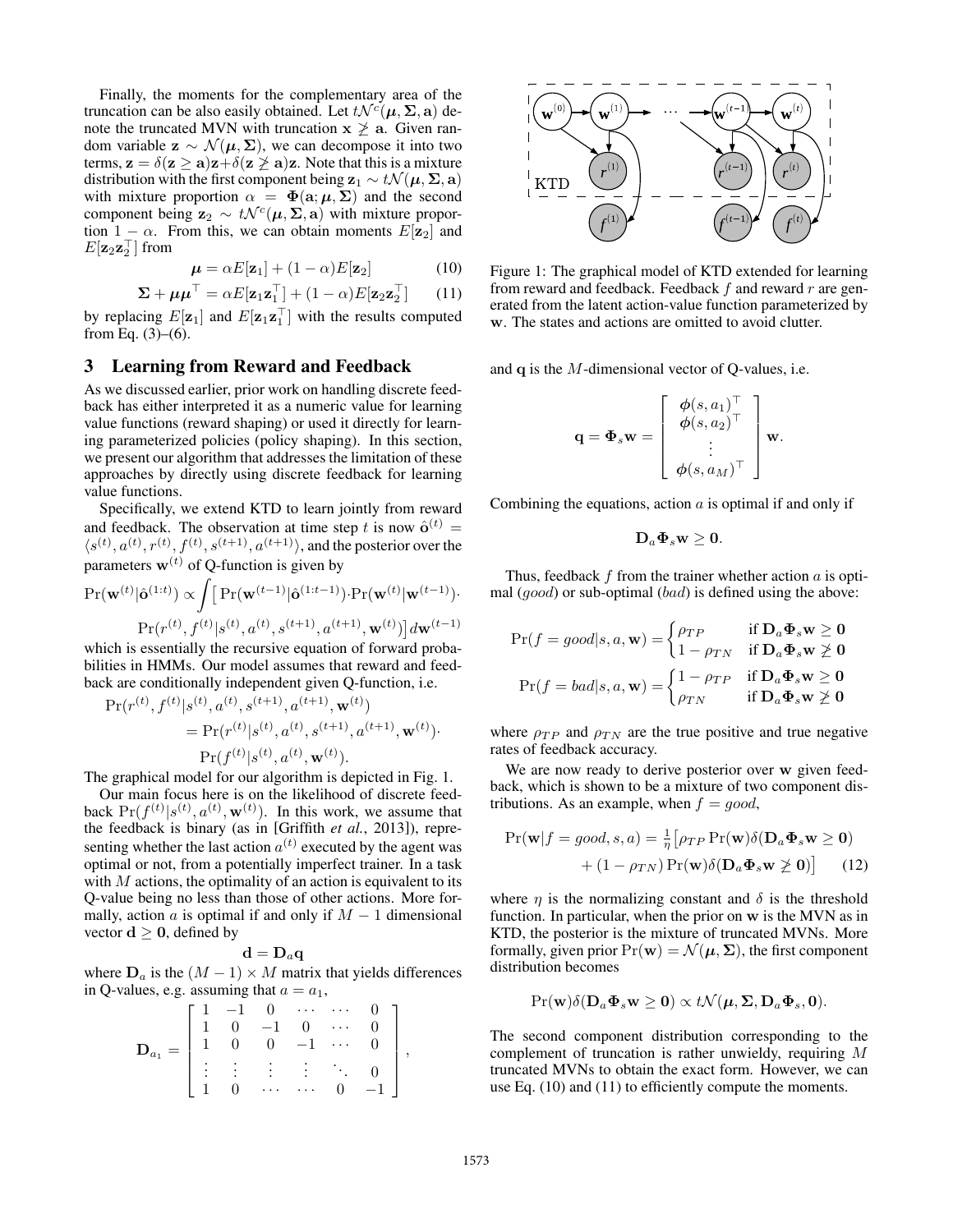Finally, the moments for the complementary area of the truncation can be also easily obtained. Let  $t\mathcal{N}^c(\mu, \Sigma, \mathbf{a})$  denote the truncated MVN with truncation  $x \not\ge a$ . Given random variable  $z \sim \mathcal{N}(\mu, \Sigma)$ , we can decompose it into two terms,  $z = \delta(z \ge a)z + \delta(z \ge a)z$ . Note that this is a mixture distribution with the first component being  $z_1 \sim t \mathcal{N}(\mu, \Sigma, \mathbf{a})$ with mixture proportion  $\alpha = \Phi(\mathbf{a}; \mu, \Sigma)$  and the second component being  $z_2 \sim t\mathcal{N}^c(\mu, \Sigma, \mathbf{a})$  with mixture proportion  $1 - \alpha$ . From this, we can obtain moments  $E[\mathbf{z}_2]$  and  $E[\mathbf{z}_2\mathbf{z}_2]$  from

$$
\boldsymbol{\mu} = \alpha E[\mathbf{z}_1] + (1 - \alpha)E[\mathbf{z}_2] \tag{10}
$$

$$
\mathbf{\Sigma} + \boldsymbol{\mu}\boldsymbol{\mu}^{\top} = \alpha E[\mathbf{z}_1 \mathbf{z}_1^{\top}] + (1 - \alpha) E[\mathbf{z}_2 \mathbf{z}_2^{\top}] \qquad (11)
$$

by replacing  $E[\mathbf{z}_1]$  and  $E[\mathbf{z}_1 \mathbf{z}_1]$  with the results computed from Eq.  $(3)$ – $(6)$ .

#### 3 Learning from Reward and Feedback

As we discussed earlier, prior work on handling discrete feedback has either interpreted it as a numeric value for learning value functions (reward shaping) or used it directly for learning parameterized policies (policy shaping). In this section, we present our algorithm that addresses the limitation of these approaches by directly using discrete feedback for learning value functions.

Specifically, we extend KTD to learn jointly from reward and feedback. The observation at time step *t* is now  $\hat{\mathbf{o}}^{(t)}$  =  $\langle s^{(t)}, a^{(t)}, r^{(t)}, f^{(t)}, s^{(t+1)}, a^{(t+1)} \rangle$ , and the posterior over the parameters  $\mathbf{w}^{(t)}$  of Q-function is given by

$$
\Pr(\mathbf{w}^{(t)}|\hat{\mathbf{o}}^{(1:t)}) \propto \int [\Pr(\mathbf{w}^{(t-1)}|\hat{\mathbf{o}}^{(1:t-1)}) \cdot \Pr(\mathbf{w}^{(t)}|\mathbf{w}^{(t-1)}) \cdot \Pr(\mathbf{w}^{(t)}) \cdot \Pr(r^{(t)}, f^{(t)}|s^{(t)}, a^{(t)}, s^{(t+1)}, a^{(t+1)}, \mathbf{w}^{(t)})] d\mathbf{w}^{(t-1)}
$$

which is essentially the recursive equation of forward probabilities in HMMs. Our model assumes that reward and feedback are conditionally independent given Q-function, i.e.

$$
\Pr(r^{(t)}, f^{(t)} | s^{(t)}, a^{(t)}, s^{(t+1)}, a^{(t+1)}, \mathbf{w}^{(t)})
$$
\n
$$
= \Pr(r^{(t)} | s^{(t)}, a^{(t)}, s^{(t+1)}, a^{(t+1)}, \mathbf{w}^{(t)})
$$
\n
$$
\Pr(f^{(t)} | s^{(t)}, a^{(t)}, \mathbf{w}^{(t)}).
$$

The graphical model for our algorithm is depicted in Fig. 1.

Our main focus here is on the likelihood of discrete feedback  $Pr(f^{(t)}|s^{(t)}, a^{(t)}, \mathbf{w}^{(t)})$ . In this work, we assume that the feedback is binary (as in [Griffith *et al.*, 2013]), representing whether the last action  $a^{(t)}$  executed by the agent was optimal or not, from a potentially imperfect trainer. In a task with *M* actions, the optimality of an action is equivalent to its Q-value being no less than those of other actions. More formally, action  $a$  is optimal if and only if  $M - 1$  dimensional vector  $d \geq 0$ , defined by

$$
\mathbf{d}=\mathbf{D}_a\mathbf{q}
$$

where  $D_a$  is the  $(M - 1) \times M$  matrix that yields differences in Q-values, e.g. assuming that  $a = a_1$ ,

$$
\mathbf{D}_{a_1} = \begin{bmatrix} 1 & -1 & 0 & \cdots & \cdots & 0 \\ 1 & 0 & -1 & 0 & \cdots & 0 \\ 1 & 0 & 0 & -1 & \cdots & 0 \\ \vdots & \vdots & \vdots & \vdots & \ddots & 0 \\ 1 & 0 & \cdots & \cdots & 0 & -1 \end{bmatrix},
$$



Figure 1: The graphical model of KTD extended for learning from reward and feedback. Feedback *f* and reward *r* are generated from the latent action-value function parameterized by w. The states and actions are omitted to avoid clutter.

and q is the *M*-dimensional vector of Q-values, i.e.

$$
\mathbf{q} = \mathbf{\Phi}_s \mathbf{w} = \begin{bmatrix} \phi(s, a_1)^\top \\ \phi(s, a_2)^\top \\ \vdots \\ \phi(s, a_M)^\top \end{bmatrix} \mathbf{w}.
$$

Combining the equations, action *a* is optimal if and only if

$$
\mathbf{D}_a \mathbf{\Phi}_s \mathbf{w} \geq \mathbf{0}.
$$

Thus, feedback *f* from the trainer whether action *a* is optimal (*good*) or sub-optimal (*bad*) is defined using the above:

$$
\Pr(f = good | s, a, \mathbf{w}) = \begin{cases} \rho_{TP} & \text{if } \mathbf{D}_a \mathbf{\Phi}_s \mathbf{w} \ge \mathbf{0} \\ 1 - \rho_{TN} & \text{if } \mathbf{D}_a \mathbf{\Phi}_s \mathbf{w} \not\ge \mathbf{0} \end{cases}
$$

$$
\Pr(f = bad | s, a, \mathbf{w}) = \begin{cases} 1 - \rho_{TP} & \text{if } \mathbf{D}_a \mathbf{\Phi}_s \mathbf{w} \ge \mathbf{0} \\ \rho_{TN} & \text{if } \mathbf{D}_a \mathbf{\Phi}_s \mathbf{w} \not\ge \mathbf{0} \end{cases}
$$

where  $\rho_{TP}$  and  $\rho_{TN}$  are the true positive and true negative rates of feedback accuracy.

We are now ready to derive posterior over w given feedback, which is shown to be a mixture of two component distributions. As an example, when  $f = good$ ,

$$
Pr(\mathbf{w}|f = good, s, a) = \frac{1}{\eta} \left[ \rho_{TP} Pr(\mathbf{w}) \delta(\mathbf{D}_a \mathbf{\Phi}_s \mathbf{w} \ge \mathbf{0}) + (1 - \rho_{TN}) Pr(\mathbf{w}) \delta(\mathbf{D}_a \mathbf{\Phi}_s \mathbf{w} \ge \mathbf{0}) \right]
$$
(12)

where  $\eta$  is the normalizing constant and  $\delta$  is the threshold function. In particular, when the prior on w is the MVN as in KTD, the posterior is the mixture of truncated MVNs. More formally, given prior  $Pr(\mathbf{w}) = \mathcal{N}(\boldsymbol{\mu}, \boldsymbol{\Sigma})$ , the first component distribution becomes

$$
\Pr(\mathbf{w})\delta(\mathbf{D}_a\mathbf{\Phi}_s\mathbf{w}\geq 0) \propto t\mathcal{N}(\boldsymbol{\mu},\boldsymbol{\Sigma},\mathbf{D}_a\mathbf{\Phi}_s,\mathbf{0}).
$$

The second component distribution corresponding to the complement of truncation is rather unwieldy, requiring *M* truncated MVNs to obtain the exact form. However, we can use Eq. (10) and (11) to efficiently compute the moments.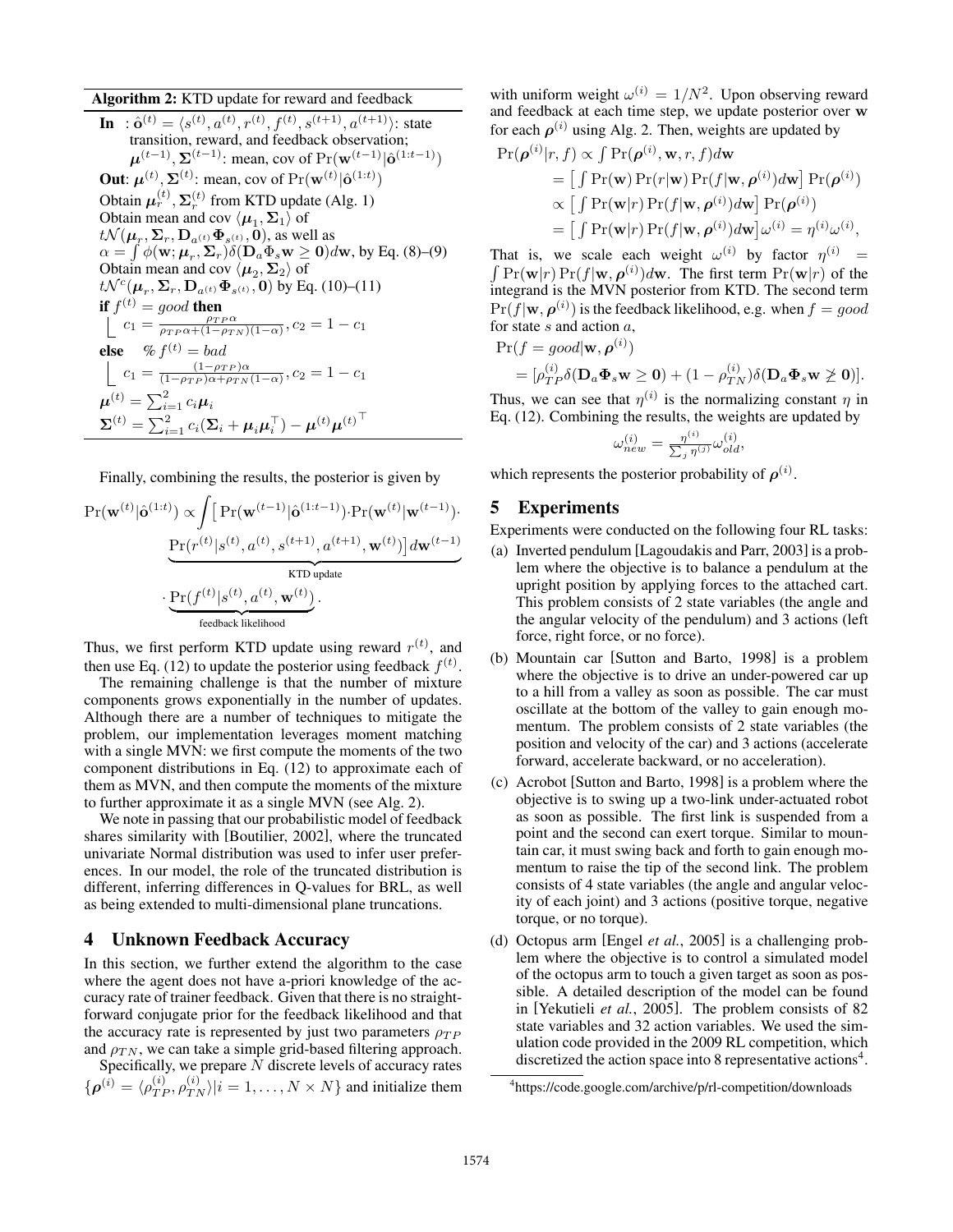Algorithm 2: KTD update for reward and feedback **In** :  $\hat{\mathbf{o}}^{(t)} = \langle s^{(t)}, a^{(t)}, r^{(t)}, f^{(t)}, s^{(t+1)}, a^{(t+1)} \rangle$ : state transition, reward, and feedback observation;  $\mu^{(t-1)}, \sum_{(t)}^{(t-1)}$ : mean, cov of  $Pr(\mathbf{w}^{(t-1)} | \hat{\mathbf{o}}^{(1:t-1)})$ **Out:**  $\mu^{(t)}, \Sigma^{(t)}$ : mean, cov of Pr( $\mathbf{w}^{(t)} | \hat{\mathbf{o}}^{(1:t)}$ ) Obtain  $\boldsymbol{\mu}_r^{(t)}$ ,  $\boldsymbol{\Sigma}_r^{(t)}$  from KTD update (Alg. 1) Obtain mean and cov  $\langle \mu_1, \Sigma_1 \rangle$  of  $t\mathcal{N}(\boldsymbol{\mu}_r, \boldsymbol{\Sigma}_r, \mathbf{D}_{a^{(t)}} \boldsymbol{\Phi}_{s^{(t)}}, \mathbf{0})$ , as well as  $\alpha = \int \phi(\mathbf{w}; \mu_r, \Sigma_r) \delta(D_a \Phi_s \mathbf{w} \geq 0) d\mathbf{w}$ , by Eq. (8)–(9) Obtain mean and cov  $\langle \mu_2, \Sigma_2 \rangle$  of  $t\mathcal{N}^c(\mu_r, \Sigma_r, D_{a^{(t)}} \Phi_{s^{(t)}}, 0)$  by Eq. (10)–(11) if  $f^{(t)} = good$  then  $c_1 = \frac{\rho_{TP} \alpha}{\rho_{TP} \alpha + (1 - \rho_{TN})(1 - \alpha)}, c_2 = 1 - c_1$ else %  $f^{(t)} = bad$  $c_1 = \frac{(1-\rho_{TP})\alpha}{(1-\rho_{TP})\alpha+\rho_{TN}(1-\alpha)}, c_2 = 1 - c_1$  $\boldsymbol{\mu}^{(t)} = \sum_{i=1}^2 c_i \boldsymbol{\mu}_i$  $\boldsymbol{\Sigma}^{(t)} = \sum_{i=1}^2 c_i (\boldsymbol{\Sigma}_i + \boldsymbol{\mu}_i \boldsymbol{\mu}_i^\top) - \boldsymbol{\mu}^{(t)} {\boldsymbol{\mu}^{(t)}}^\top$ 

Finally, combining the results, the posterior is given by

$$
\begin{split} \Pr(\mathbf{w}^{(t)}|\hat{\mathbf{o}}^{(1:t)}) & \propto \!\!\int \! \big[\Pr(\mathbf{w}^{(t-1)}|\hat{\mathbf{o}}^{(1:t-1)})\!\cdot\!\Pr(\mathbf{w}^{(t)}|\mathbf{w}^{(t-1)})\!\cdot\!\!\\ &\qquad \qquad \underbrace{\Pr(r^{(t)}|s^{(t)},a^{(t)},s^{(t+1)},a^{(t+1)},\mathbf{w}^{(t)})\big]d\mathbf{w}^{(t-1)}}_{\text{KTD update}} \\ &\qquad \qquad \cdot \underbrace{\Pr(f^{(t)}|s^{(t)},a^{(t)},\mathbf{w}^{(t)})}_{\text{feedback likelihood}}. \end{split}
$$

Thus, we first perform KTD update using reward  $r^{(t)}$ , and then use Eq. (12) to update the posterior using feedback  $f^{(t)}$ .

The remaining challenge is that the number of mixture components grows exponentially in the number of updates. Although there are a number of techniques to mitigate the problem, our implementation leverages moment matching with a single MVN: we first compute the moments of the two component distributions in Eq. (12) to approximate each of them as MVN, and then compute the moments of the mixture to further approximate it as a single MVN (see Alg. 2).

We note in passing that our probabilistic model of feedback shares similarity with [Boutilier, 2002], where the truncated univariate Normal distribution was used to infer user preferences. In our model, the role of the truncated distribution is different, inferring differences in Q-values for BRL, as well as being extended to multi-dimensional plane truncations.

### 4 Unknown Feedback Accuracy

In this section, we further extend the algorithm to the case where the agent does not have a-priori knowledge of the accuracy rate of trainer feedback. Given that there is no straightforward conjugate prior for the feedback likelihood and that the accuracy rate is represented by just two parameters  $\rho_{TP}$ and  $\rho_{TN}$ , we can take a simple grid-based filtering approach.

Specifically, we prepare *N* discrete levels of accuracy rates  $\{\boldsymbol{\rho}^{(i)} = \langle \rho_{TP}^{(i)}, \rho_{TN}^{(i)} \rangle | i = 1, \dots, N \times N \}$  and initialize them with uniform weight  $\omega^{(i)} = 1/N^2$ . Upon observing reward and feedback at each time step, we update posterior over w for each  $\rho^{(i)}$  using Alg. 2. Then, weights are updated by

$$
\Pr(\boldsymbol{\rho}^{(i)}|r, f) \propto \int \Pr(\boldsymbol{\rho}^{(i)}, \mathbf{w}, r, f) d\mathbf{w}
$$
\n
$$
= \left[ \int \Pr(\mathbf{w}) \Pr(r|\mathbf{w}) \Pr(f|\mathbf{w}, \boldsymbol{\rho}^{(i)}) d\mathbf{w} \right] \Pr(\boldsymbol{\rho}^{(i)})
$$
\n
$$
\propto \left[ \int \Pr(\mathbf{w}|r) \Pr(f|\mathbf{w}, \boldsymbol{\rho}^{(i)}) d\mathbf{w} \right] \Pr(\boldsymbol{\rho}^{(i)})
$$
\n
$$
= \left[ \int \Pr(\mathbf{w}|r) \Pr(f|\mathbf{w}, \boldsymbol{\rho}^{(i)}) d\mathbf{w} \right] \omega^{(i)} = \eta^{(i)} \omega^{(i)},
$$

That is, we scale each weight  $\omega^{(i)}$  by factor  $\eta^{(i)} = \int \Pr(\mathbf{w}|r) \Pr(f|\mathbf{w}, \rho^{(i)}) d\mathbf{w}$ . The first term  $\Pr(\mathbf{w}|r)$  of the integrand is the MVN posterior from KTD. The second term  $\Pr(f|\mathbf{w}, \boldsymbol{\rho}^{(i)})$  is the feedback likelihood, e.g. when  $f = good$ for state *s* and action *a*,

$$
\Pr(f = good | \mathbf{w}, \boldsymbol{\rho}^{(i)})
$$
  
=  $[\rho_{TP}^{(i)} \delta(\mathbf{D}_a \mathbf{\Phi}_s \mathbf{w} \ge \mathbf{0}) + (1 - \rho_{TN}^{(i)}) \delta(\mathbf{D}_a \mathbf{\Phi}_s \mathbf{w} \ge \mathbf{0})].$ 

Thus, we can see that  $\eta^{(i)}$  is the normalizing constant  $n$  in Eq. (12). Combining the results, the weights are updated by

$$
\omega_{new}^{(i)} = \frac{\eta^{(i)}}{\sum_j \eta^{(j)}} \omega_{old}^{(i)},
$$

which represents the posterior probability of  $\rho^{(i)}$ .

# 5 Experiments

Experiments were conducted on the following four RL tasks:

- (a) Inverted pendulum [Lagoudakis and Parr, 2003] is a problem where the objective is to balance a pendulum at the upright position by applying forces to the attached cart. This problem consists of 2 state variables (the angle and the angular velocity of the pendulum) and 3 actions (left force, right force, or no force).
- (b) Mountain car [Sutton and Barto, 1998] is a problem where the objective is to drive an under-powered car up to a hill from a valley as soon as possible. The car must oscillate at the bottom of the valley to gain enough momentum. The problem consists of 2 state variables (the position and velocity of the car) and 3 actions (accelerate forward, accelerate backward, or no acceleration).
- (c) Acrobot [Sutton and Barto, 1998] is a problem where the objective is to swing up a two-link under-actuated robot as soon as possible. The first link is suspended from a point and the second can exert torque. Similar to mountain car, it must swing back and forth to gain enough momentum to raise the tip of the second link. The problem consists of 4 state variables (the angle and angular velocity of each joint) and 3 actions (positive torque, negative torque, or no torque).
- (d) Octopus arm [Engel *et al.*, 2005] is a challenging problem where the objective is to control a simulated model of the octopus arm to touch a given target as soon as possible. A detailed description of the model can be found in [Yekutieli *et al.*, 2005]. The problem consists of 82 state variables and 32 action variables. We used the simulation code provided in the 2009 RL competition, which discretized the action space into 8 representative actions<sup>4</sup>.

<sup>4</sup> https://code.google.com/archive/p/rl-competition/downloads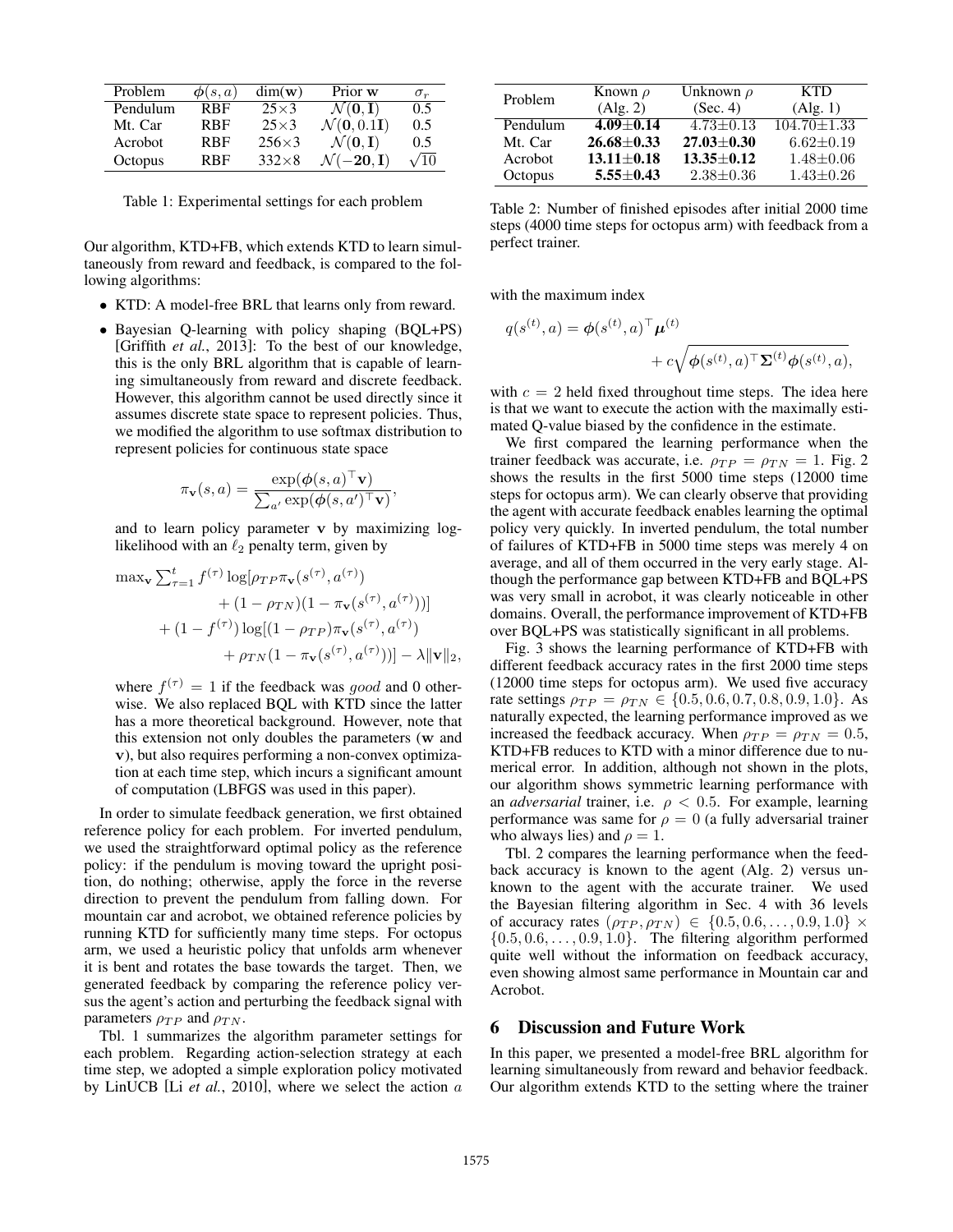| Problem  | $\boldsymbol{\phi}(s,a)$ | $dim(\mathbf{w})$ | Prior w                                  | $\sigma_r$  |
|----------|--------------------------|-------------------|------------------------------------------|-------------|
| Pendulum | <b>RBF</b>               | $25\times3$       | $\mathcal{N}(\mathbf{0},\mathbf{I})$     | 0.5         |
| Mt. Car  | <b>RBF</b>               | $25\times3$       | $\mathcal{N}(\mathbf{0}, 0.1\mathbf{I})$ | 0.5         |
| Acrobot  | <b>RBF</b>               | $256\times3$      | $\mathcal{N}(\mathbf{0},\mathbf{I})$     | 0.5         |
| Octopus  | <b>RBF</b>               | $332\times8$      | $\mathcal{N}(-20, I)$                    | $\sqrt{10}$ |

Table 1: Experimental settings for each problem

Our algorithm, KTD+FB, which extends KTD to learn simultaneously from reward and feedback, is compared to the following algorithms:

- *•* KTD: A model-free BRL that learns only from reward.
- *•* Bayesian Q-learning with policy shaping (BQL+PS) [Griffith *et al.*, 2013]: To the best of our knowledge, this is the only BRL algorithm that is capable of learning simultaneously from reward and discrete feedback. However, this algorithm cannot be used directly since it assumes discrete state space to represent policies. Thus, we modified the algorithm to use softmax distribution to represent policies for continuous state space

$$
\pi_{\mathbf{v}}(s, a) = \frac{\exp(\boldsymbol{\phi}(s, a) \mid \mathbf{v})}{\sum_{a'} \exp(\boldsymbol{\phi}(s, a')^\top \mathbf{v})},
$$

and to learn policy parameter v by maximizing loglikelihood with an  $\ell_2$  penalty term, given by

$$
\max_{\mathbf{v}} \sum_{\tau=1}^{t} f^{(\tau)} \log[\rho_{TP} \pi_{\mathbf{v}}(s^{(\tau)}, a^{(\tau)}) + (1 - \rho_{TN}) (1 - \pi_{\mathbf{v}}(s^{(\tau)}, a^{(\tau)}))]
$$

$$
+ (1 - f^{(\tau)}) \log[(1 - \rho_{TP}) \pi_{\mathbf{v}}(s^{(\tau)}, a^{(\tau)}) + \rho_{TN} (1 - \pi_{\mathbf{v}}(s^{(\tau)}, a^{(\tau)}))] - \lambda \|\mathbf{v}\|_{2},
$$

where  $f^{(\tau)} = 1$  if the feedback was *good* and 0 otherwise. We also replaced BQL with KTD since the latter has a more theoretical background. However, note that this extension not only doubles the parameters (w and v), but also requires performing a non-convex optimization at each time step, which incurs a significant amount of computation (LBFGS was used in this paper).

In order to simulate feedback generation, we first obtained reference policy for each problem. For inverted pendulum, we used the straightforward optimal policy as the reference policy: if the pendulum is moving toward the upright position, do nothing; otherwise, apply the force in the reverse direction to prevent the pendulum from falling down. For mountain car and acrobot, we obtained reference policies by running KTD for sufficiently many time steps. For octopus arm, we used a heuristic policy that unfolds arm whenever it is bent and rotates the base towards the target. Then, we generated feedback by comparing the reference policy versus the agent's action and perturbing the feedback signal with parameters  $\rho_{TP}$  and  $\rho_{TN}$ .

Tbl. 1 summarizes the algorithm parameter settings for each problem. Regarding action-selection strategy at each time step, we adopted a simple exploration policy motivated by LinUCB [Li *et al.*, 2010], where we select the action *a*

| Problem  | Known $\rho$     | Unknown $\rho$   | <b>KTD</b>        |
|----------|------------------|------------------|-------------------|
|          | (Alg. 2)         | (Sec. 4)         | (Alg. 1)          |
| Pendulum | $4.09 \pm 0.14$  | $4.73 \pm 0.13$  | $104.70 \pm 1.33$ |
| Mt. Car  | $26.68 + 0.33$   | $27.03 \pm 0.30$ | $6.62 \pm 0.19$   |
| Acrobot  | $13.11 \pm 0.18$ | $13.35 + 0.12$   | $1.48 + 0.06$     |
| Octopus  | $5.55 + 0.43$    | $2.38 \pm 0.36$  | $1.43 \pm 0.26$   |

Table 2: Number of finished episodes after initial 2000 time steps (4000 time steps for octopus arm) with feedback from a perfect trainer.

with the maximum index

$$
q(s^{(t)}, a) = \phi(s^{(t)}, a)^{\top} \boldsymbol{\mu}^{(t)} + c \sqrt{\phi(s^{(t)}, a)^{\top} \boldsymbol{\Sigma}^{(t)} \phi(s^{(t)}, a)},
$$

with  $c = 2$  held fixed throughout time steps. The idea here is that we want to execute the action with the maximally estimated Q-value biased by the confidence in the estimate.

We first compared the learning performance when the trainer feedback was accurate, i.e.  $\rho_{TP} = \rho_{TN} = 1$ . Fig. 2 shows the results in the first 5000 time steps (12000 time steps for octopus arm). We can clearly observe that providing the agent with accurate feedback enables learning the optimal policy very quickly. In inverted pendulum, the total number of failures of KTD+FB in 5000 time steps was merely 4 on average, and all of them occurred in the very early stage. Although the performance gap between KTD+FB and BQL+PS was very small in acrobot, it was clearly noticeable in other domains. Overall, the performance improvement of KTD+FB over BQL+PS was statistically significant in all problems.

Fig. 3 shows the learning performance of KTD+FB with different feedback accuracy rates in the first 2000 time steps (12000 time steps for octopus arm). We used five accuracy rate settings  $\rho_{TP} = \rho_{TN} \in \{0.5, 0.6, 0.7, 0.8, 0.9, 1.0\}$ . As naturally expected, the learning performance improved as we increased the feedback accuracy. When  $\rho_{TP} = \rho_{TN} = 0.5$ , KTD+FB reduces to KTD with a minor difference due to numerical error. In addition, although not shown in the plots, our algorithm shows symmetric learning performance with an *adversarial* trainer, i.e.  $\rho < 0.5$ . For example, learning performance was same for  $\rho = 0$  (a fully adversarial trainer who always lies) and  $\rho = 1$ .

Tbl. 2 compares the learning performance when the feedback accuracy is known to the agent (Alg. 2) versus unknown to the agent with the accurate trainer. We used the Bayesian filtering algorithm in Sec. 4 with 36 levels of accuracy rates  $(\rho_{TP}, \rho_{TN}) \in \{0.5, 0.6, ..., 0.9, 1.0\} \times$ *{*0*.*5*,* 0*.*6*,...,* 0*.*9*,* 1*.*0*}*. The filtering algorithm performed quite well without the information on feedback accuracy, even showing almost same performance in Mountain car and Acrobot.

#### 6 Discussion and Future Work

In this paper, we presented a model-free BRL algorithm for learning simultaneously from reward and behavior feedback. Our algorithm extends KTD to the setting where the trainer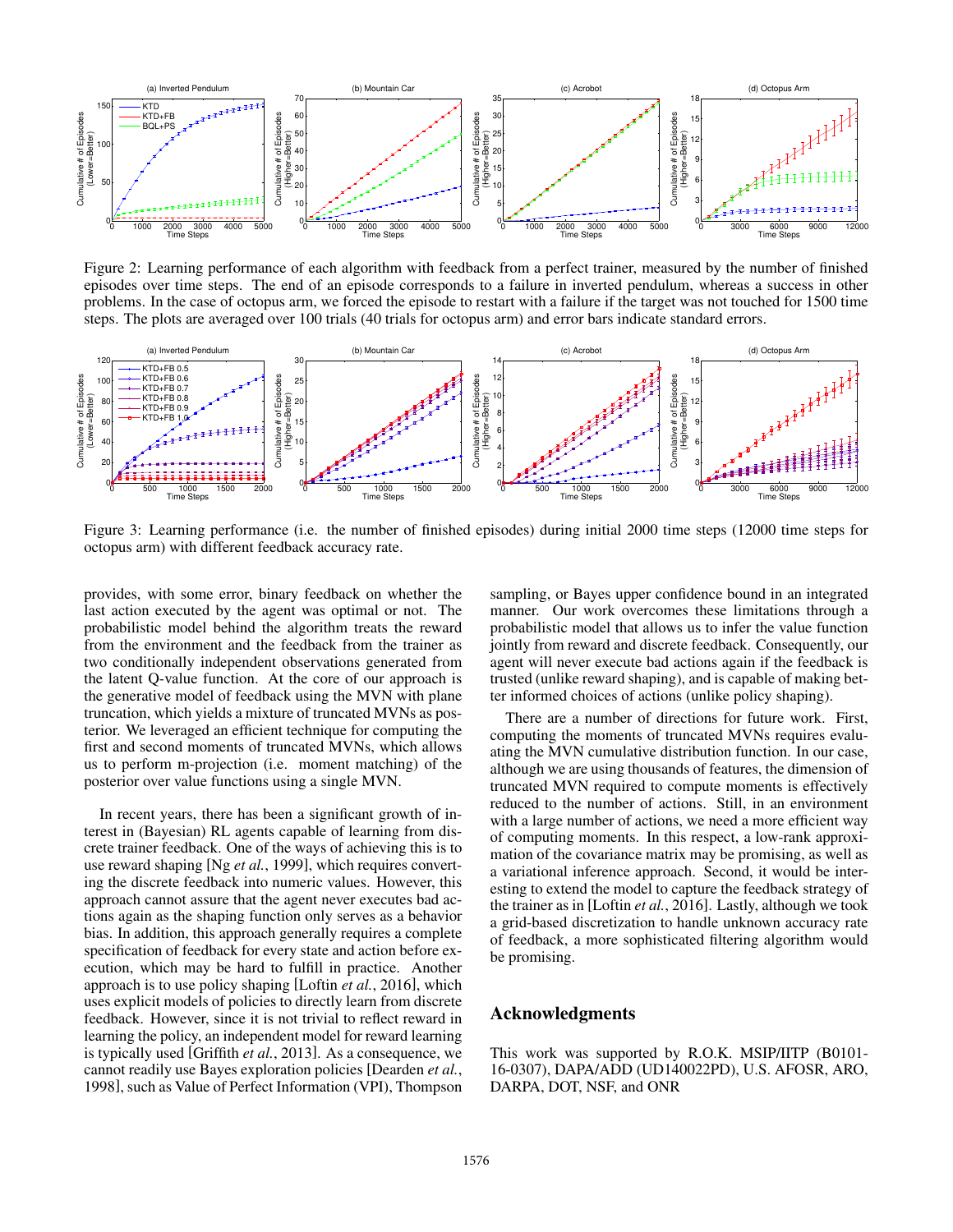

Figure 2: Learning performance of each algorithm with feedback from a perfect trainer, measured by the number of finished episodes over time steps. The end of an episode corresponds to a failure in inverted pendulum, whereas a success in other problems. In the case of octopus arm, we forced the episode to restart with a failure if the target was not touched for 1500 time steps. The plots are averaged over 100 trials (40 trials for octopus arm) and error bars indicate standard errors.



Figure 3: Learning performance (i.e. the number of finished episodes) during initial 2000 time steps (12000 time steps for octopus arm) with different feedback accuracy rate.

provides, with some error, binary feedback on whether the last action executed by the agent was optimal or not. The probabilistic model behind the algorithm treats the reward from the environment and the feedback from the trainer as two conditionally independent observations generated from the latent Q-value function. At the core of our approach is the generative model of feedback using the MVN with plane truncation, which yields a mixture of truncated MVNs as posterior. We leveraged an efficient technique for computing the first and second moments of truncated MVNs, which allows us to perform m-projection (i.e. moment matching) of the posterior over value functions using a single MVN.

In recent years, there has been a significant growth of interest in (Bayesian) RL agents capable of learning from discrete trainer feedback. One of the ways of achieving this is to use reward shaping [Ng *et al.*, 1999], which requires converting the discrete feedback into numeric values. However, this approach cannot assure that the agent never executes bad actions again as the shaping function only serves as a behavior bias. In addition, this approach generally requires a complete specification of feedback for every state and action before execution, which may be hard to fulfill in practice. Another approach is to use policy shaping [Loftin *et al.*, 2016], which uses explicit models of policies to directly learn from discrete feedback. However, since it is not trivial to reflect reward in learning the policy, an independent model for reward learning is typically used [Griffith *et al.*, 2013]. As a consequence, we cannot readily use Bayes exploration policies [Dearden *et al.*, 1998], such as Value of Perfect Information (VPI), Thompson

sampling, or Bayes upper confidence bound in an integrated manner. Our work overcomes these limitations through a probabilistic model that allows us to infer the value function jointly from reward and discrete feedback. Consequently, our agent will never execute bad actions again if the feedback is trusted (unlike reward shaping), and is capable of making better informed choices of actions (unlike policy shaping).

There are a number of directions for future work. First, computing the moments of truncated MVNs requires evaluating the MVN cumulative distribution function. In our case, although we are using thousands of features, the dimension of truncated MVN required to compute moments is effectively reduced to the number of actions. Still, in an environment with a large number of actions, we need a more efficient way of computing moments. In this respect, a low-rank approximation of the covariance matrix may be promising, as well as a variational inference approach. Second, it would be interesting to extend the model to capture the feedback strategy of the trainer as in [Loftin *et al.*, 2016]. Lastly, although we took a grid-based discretization to handle unknown accuracy rate of feedback, a more sophisticated filtering algorithm would be promising.

## Acknowledgments

This work was supported by R.O.K. MSIP/IITP (B0101- 16-0307), DAPA/ADD (UD140022PD), U.S. AFOSR, ARO, DARPA, DOT, NSF, and ONR